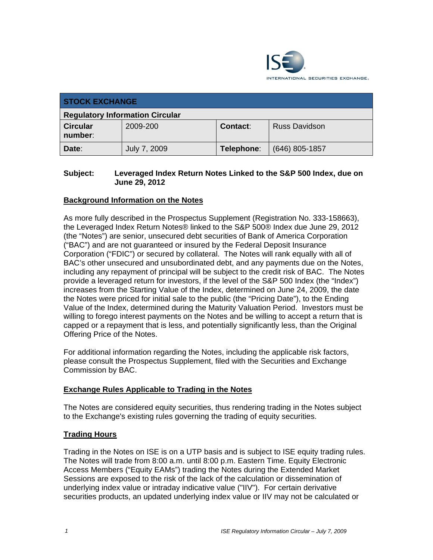

| <b>STOCK EXCHANGE</b>                  |              |            |                      |  |
|----------------------------------------|--------------|------------|----------------------|--|
| <b>Regulatory Information Circular</b> |              |            |                      |  |
| <b>Circular</b><br>number:             | 2009-200     | Contact:   | <b>Russ Davidson</b> |  |
| Date:                                  | July 7, 2009 | Telephone: | $(646)$ 805-1857     |  |

#### **Subject: Leveraged Index Return Notes Linked to the S&P 500 Index, due on June 29, 2012**

## **Background Information on the Notes**

As more fully described in the Prospectus Supplement (Registration No. 333-158663), the Leveraged Index Return Notes® linked to the S&P 500® Index due June 29, 2012 (the "Notes") are senior, unsecured debt securities of Bank of America Corporation ("BAC") and are not guaranteed or insured by the Federal Deposit Insurance Corporation ("FDIC") or secured by collateral. The Notes will rank equally with all of BAC's other unsecured and unsubordinated debt, and any payments due on the Notes, including any repayment of principal will be subject to the credit risk of BAC. The Notes provide a leveraged return for investors, if the level of the S&P 500 Index (the "Index") increases from the Starting Value of the Index, determined on June 24, 2009, the date the Notes were priced for initial sale to the public (the "Pricing Date"), to the Ending Value of the Index, determined during the Maturity Valuation Period. Investors must be willing to forego interest payments on the Notes and be willing to accept a return that is capped or a repayment that is less, and potentially significantly less, than the Original Offering Price of the Notes.

For additional information regarding the Notes, including the applicable risk factors, please consult the Prospectus Supplement, filed with the Securities and Exchange Commission by BAC.

#### **Exchange Rules Applicable to Trading in the Notes**

The Notes are considered equity securities, thus rendering trading in the Notes subject to the Exchange's existing rules governing the trading of equity securities.

#### **Trading Hours**

Trading in the Notes on ISE is on a UTP basis and is subject to ISE equity trading rules. The Notes will trade from 8:00 a.m. until 8:00 p.m. Eastern Time. Equity Electronic Access Members ("Equity EAMs") trading the Notes during the Extended Market Sessions are exposed to the risk of the lack of the calculation or dissemination of underlying index value or intraday indicative value ("IIV"). For certain derivative securities products, an updated underlying index value or IIV may not be calculated or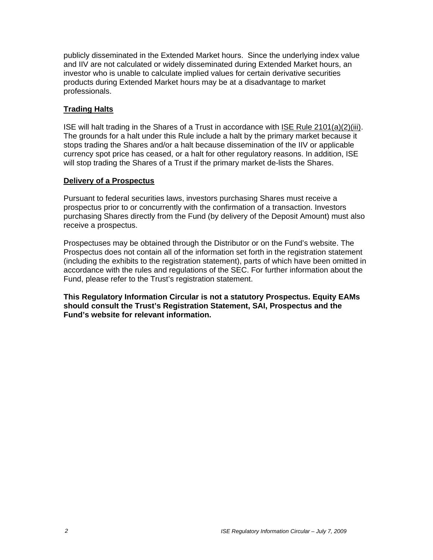publicly disseminated in the Extended Market hours. Since the underlying index value and IIV are not calculated or widely disseminated during Extended Market hours, an investor who is unable to calculate implied values for certain derivative securities products during Extended Market hours may be at a disadvantage to market professionals.

### **Trading Halts**

ISE will halt trading in the Shares of a Trust in accordance with ISE Rule 2101(a)(2)(iii). The grounds for a halt under this Rule include a halt by the primary market because it stops trading the Shares and/or a halt because dissemination of the IIV or applicable currency spot price has ceased, or a halt for other regulatory reasons. In addition, ISE will stop trading the Shares of a Trust if the primary market de-lists the Shares.

#### **Delivery of a Prospectus**

Pursuant to federal securities laws, investors purchasing Shares must receive a prospectus prior to or concurrently with the confirmation of a transaction. Investors purchasing Shares directly from the Fund (by delivery of the Deposit Amount) must also receive a prospectus.

Prospectuses may be obtained through the Distributor or on the Fund's website. The Prospectus does not contain all of the information set forth in the registration statement (including the exhibits to the registration statement), parts of which have been omitted in accordance with the rules and regulations of the SEC. For further information about the Fund, please refer to the Trust's registration statement.

**This Regulatory Information Circular is not a statutory Prospectus. Equity EAMs should consult the Trust's Registration Statement, SAI, Prospectus and the Fund's website for relevant information.**